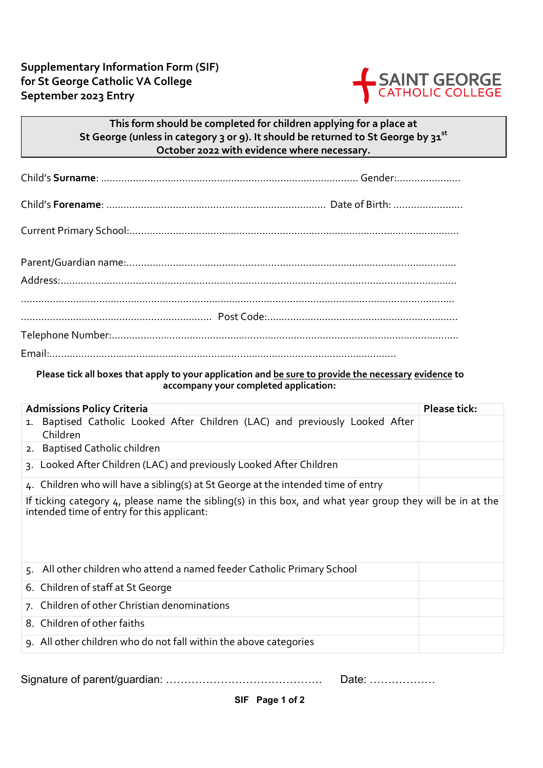

## **This form should be completed for children applying for a place at St George (unless in category 3 or 9). It should be returned to St George by 31st October 2022 with evidence where necessary.**

## **Please tick all boxes that apply to your application and be sure to provide the necessary evidence to accompany your completed application:**

| <b>Admissions Policy Criteria</b>                                                                                                                       | <b>Please tick:</b> |  |
|---------------------------------------------------------------------------------------------------------------------------------------------------------|---------------------|--|
| 1. Baptised Catholic Looked After Children (LAC) and previously Looked After<br>Children                                                                |                     |  |
| 2. Baptised Catholic children                                                                                                                           |                     |  |
| 3. Looked After Children (LAC) and previously Looked After Children                                                                                     |                     |  |
| 4. Children who will have a sibling(s) at St George at the intended time of entry                                                                       |                     |  |
| If ticking category 4, please name the sibling(s) in this box, and what year group they will be in at the<br>intended time of entry for this applicant: |                     |  |
| 5. All other children who attend a named feeder Catholic Primary School                                                                                 |                     |  |
| 6. Children of staff at St George                                                                                                                       |                     |  |
| 7. Children of other Christian denominations                                                                                                            |                     |  |
| 8. Children of other faiths                                                                                                                             |                     |  |
| 9. All other children who do not fall within the above categories                                                                                       |                     |  |

Signature of parent/guardian: ……………………………………. Date: ………………